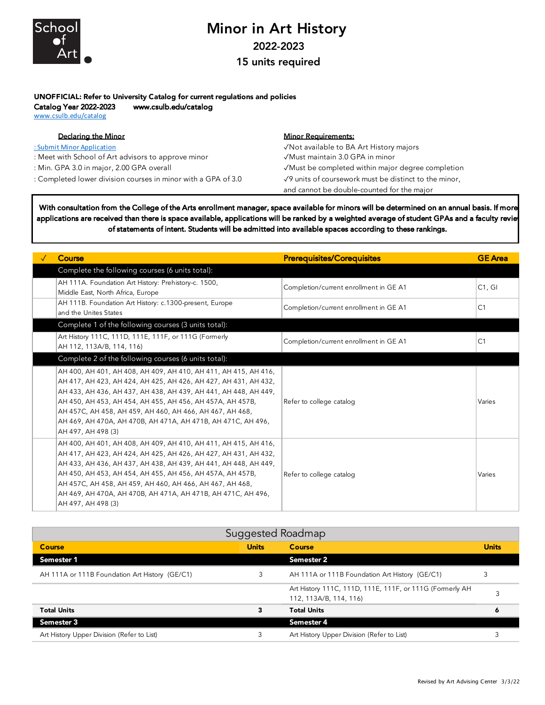

www.csulb.edu/catalog

## Minor in Art History 2022-2023 15 units required

UNOFFICIAL: Refer to University Catalog for current regulations and policies Catalog Year 2022-2023 www.csulb.edu/catalog

| Declaring the Minor                                           | <b>Minor Requirements:</b>                                    |
|---------------------------------------------------------------|---------------------------------------------------------------|
| : Submit Minor Application                                    | √Not available to BA Art History majors                       |
| : Meet with School of Art advisors to approve minor           | √Must maintain 3.0 GPA in minor                               |
| : Min. GPA 3.0 in major, 2.00 GPA overall                     | √Must be completed within major degree completion             |
| : Completed lower division courses in minor with a GPA of 3.0 | $\sqrt{9}$ units of coursework must be distinct to the minor, |
|                                                               | and cannot be double-counted for the major                    |

With consultation from the College of the Arts enrollment manager, space available for minors will be determined on an annual basis. If more applications are received than there is space available, applications will be ranked by a weighted average of student GPAs and a faculty reviet of statements of intent. Students will be admitted into available spaces according to these rankings.

| Course                                                                                                                                                                                                                                                                                                                                                                                                               | <b>Prerequisites/Corequisites</b>      | <b>GE</b> Area |
|----------------------------------------------------------------------------------------------------------------------------------------------------------------------------------------------------------------------------------------------------------------------------------------------------------------------------------------------------------------------------------------------------------------------|----------------------------------------|----------------|
| Complete the following courses (6 units total):                                                                                                                                                                                                                                                                                                                                                                      |                                        |                |
| AH 111A. Foundation Art History: Prehistory-c. 1500,<br>Middle East, North Africa, Europe                                                                                                                                                                                                                                                                                                                            | Completion/current enrollment in GE A1 | C1, G1         |
| AH 111B. Foundation Art History: c.1300-present, Europe<br>and the Unites States                                                                                                                                                                                                                                                                                                                                     | Completion/current enrollment in GE A1 | C1             |
| Complete 1 of the following courses (3 units total):                                                                                                                                                                                                                                                                                                                                                                 |                                        |                |
| Art History 111C, 111D, 111E, 111F, or 111G (Formerly<br>AH 112, 113A/B, 114, 116)                                                                                                                                                                                                                                                                                                                                   | Completion/current enrollment in GE A1 | C1             |
| Complete 2 of the following courses (6 units total):                                                                                                                                                                                                                                                                                                                                                                 |                                        |                |
| AH 400, AH 401, AH 408, AH 409, AH 410, AH 411, AH 415, AH 416,<br>AH 417, AH 423, AH 424, AH 425, AH 426, AH 427, AH 431, AH 432,<br>AH 433, AH 436, AH 437, AH 438, AH 439, AH 441, AH 448, AH 449,<br>AH 450, AH 453, AH 454, AH 455, AH 456, AH 457A, AH 457B,<br>AH 457C, AH 458, AH 459, AH 460, AH 466, AH 467, AH 468,<br>AH 469, AH 470A, AH 470B, AH 471A, AH 471B, AH 471C, AH 496,<br>AH 497, AH 498 (3) | Refer to college catalog               | Varies         |
| AH 400, AH 401, AH 408, AH 409, AH 410, AH 411, AH 415, AH 416,<br>AH 417, AH 423, AH 424, AH 425, AH 426, AH 427, AH 431, AH 432,<br>AH 433, AH 436, AH 437, AH 438, AH 439, AH 441, AH 448, AH 449,<br>AH 450, AH 453, AH 454, AH 455, AH 456, AH 457A, AH 457B,<br>AH 457C, AH 458, AH 459, AH 460, AH 466, AH 467, AH 468,<br>AH 469, AH 470A, AH 470B, AH 471A, AH 471B, AH 471C, AH 496,<br>AH 497, AH 498 (3) | Refer to college catalog               | Varies         |

| Suggested Roadmap                              |              |                                                                                    |              |
|------------------------------------------------|--------------|------------------------------------------------------------------------------------|--------------|
| Course                                         | <b>Units</b> | Course.                                                                            | <b>Units</b> |
| Semester 1                                     |              | <b>Semester 2</b>                                                                  |              |
| AH 111A or 111B Foundation Art History (GE/C1) |              | AH 111A or 111B Foundation Art History (GE/C1)                                     | 3            |
|                                                |              | Art History 111C, 111D, 111E, 111F, or 111G (Formerly AH<br>112, 113A/B, 114, 116) |              |
| <b>Total Units</b>                             | 3            | <b>Total Units</b>                                                                 | ۰            |
| Semester 3                                     |              | Semester 4                                                                         |              |
| Art History Upper Division (Refer to List)     |              | Art History Upper Division (Refer to List)                                         |              |